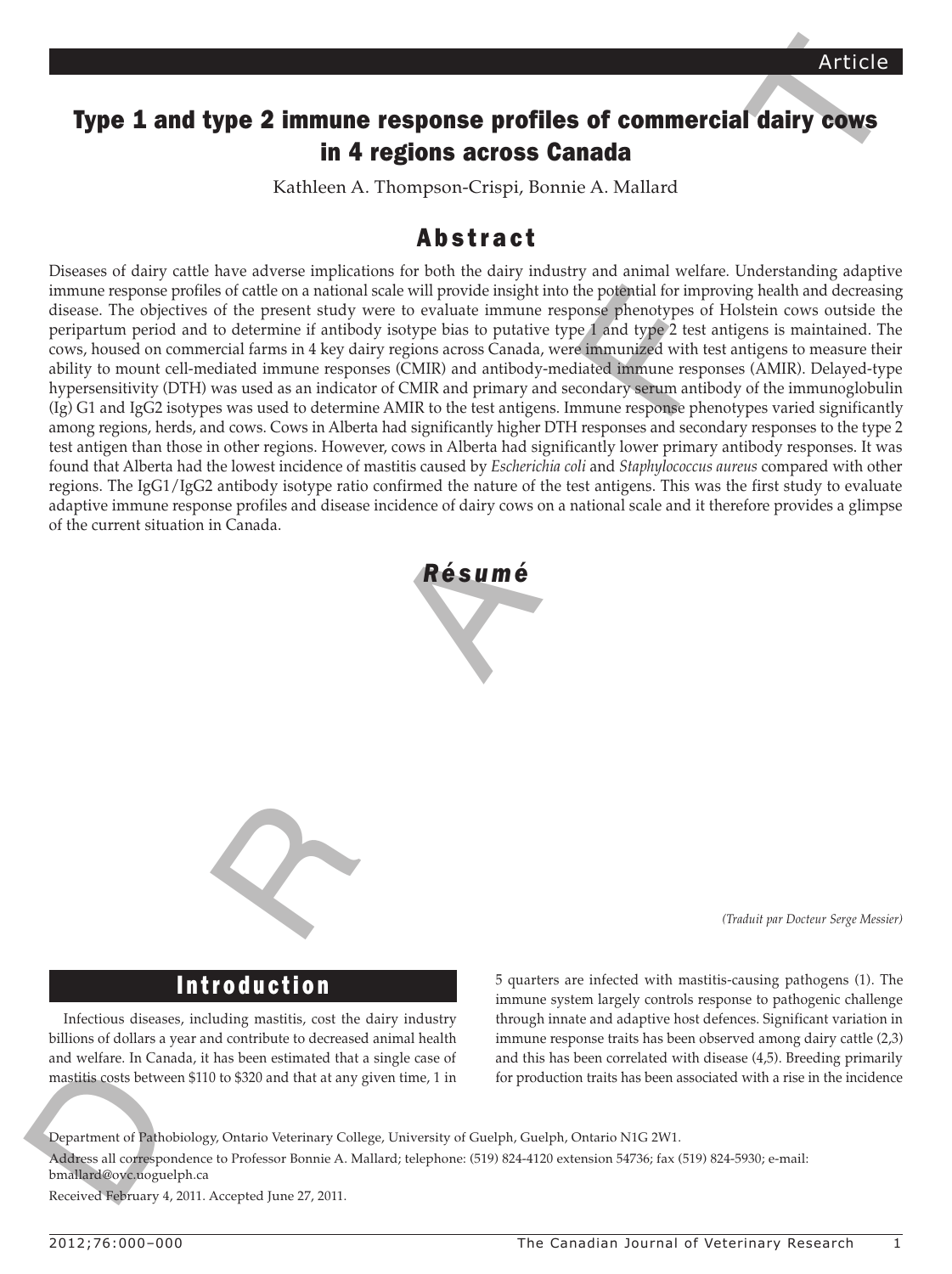# Type 1 and type 2 immune response profiles of commercial dairy cows in 4 regions across Canada

Kathleen A. Thompson-Crispi, Bonnie A. Mallard

# Abstract

**Experimental data type 2 immune response profiles of commercial daty cows<br>
in 4 regions across Canada Mare Channel A Malach and the control of the control of the control of the control of the control of the control of th** Diseases of dairy cattle have adverse implications for both the dairy industry and animal welfare. Understanding adaptive immune response profiles of cattle on a national scale will provide insight into the potential for improving health and decreasing disease. The objectives of the present study were to evaluate immune response phenotypes of Holstein cows outside the peripartum period and to determine if antibody isotype bias to putative type 1 and type 2 test antigens is maintained. The cows, housed on commercial farms in 4 key dairy regions across Canada, were immunized with test antigens to measure their ability to mount cell-mediated immune responses (CMIR) and antibody-mediated immune responses (AMIR). Delayed-type hypersensitivity (DTH) was used as an indicator of CMIR and primary and secondary serum antibody of the immunoglobulin (Ig) G1 and IgG2 isotypes was used to determine AMIR to the test antigens. Immune response phenotypes varied significantly among regions, herds, and cows. Cows in Alberta had significantly higher DTH responses and secondary responses to the type 2 test antigen than those in other regions. However, cows in Alberta had significantly lower primary antibody responses. It was found that Alberta had the lowest incidence of mastitis caused by *Escherichia coli* and *Staphylococcus aureus* compared with other regions. The IgG1/IgG2 antibody isotype ratio confirmed the nature of the test antigens. This was the first study to evaluate adaptive immune response profiles and disease incidence of dairy cows on a national scale and it therefore provides a glimpse of the current situation in Canada.





*(Traduit par Docteur Serge Messier)* 

# Introduction

Infectious diseases, including mastitis, cost the dairy industry billions of dollars a year and contribute to decreased animal health and welfare. In Canada, it has been estimated that a single case of mastitis costs between \$110 to \$320 and that at any given time, 1 in

5 quarters are infected with mastitis-causing pathogens (1). The immune system largely controls response to pathogenic challenge through innate and adaptive host defences. Significant variation in immune response traits has been observed among dairy cattle (2,3) and this has been correlated with disease (4,5). Breeding primarily for production traits has been associated with a rise in the incidence

Department of Pathobiology, Ontario Veterinary College, University of Guelph, Guelph, Ontario N1G 2W1. Address all correspondence to Professor Bonnie A. Mallard; telephone: (519) 824-4120 extension 54736; fax (519) 824-5930; e-mail: bmallard@ovc.uoguelph.ca

Received February 4, 2011. Accepted June 27, 2011.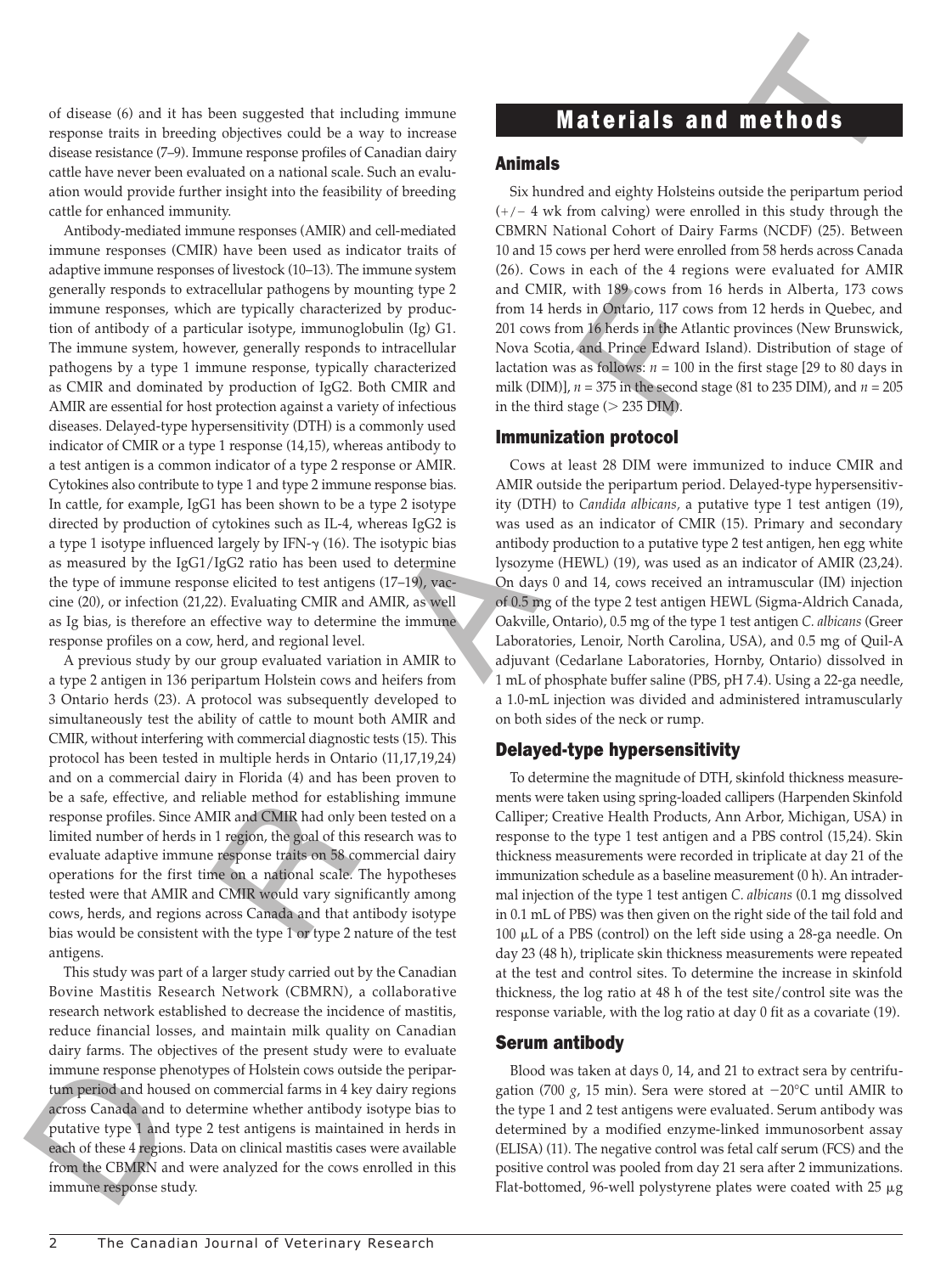of disease (6) and it has been suggested that including immune response traits in breeding objectives could be a way to increase disease resistance (7–9). Immune response profiles of Canadian dairy cattle have never been evaluated on a national scale. Such an evaluation would provide further insight into the feasibility of breeding cattle for enhanced immunity.

A conservation is not a basebate and basebate and basebate and **MATURES and mONDO Conservation** is not a sequence of the set of the set of the set of the set of the set of the set of the set of the set of the set of the s Antibody-mediated immune responses (AMIR) and cell-mediated immune responses (CMIR) have been used as indicator traits of adaptive immune responses of livestock (10–13). The immune system generally responds to extracellular pathogens by mounting type 2 immune responses, which are typically characterized by production of antibody of a particular isotype, immunoglobulin (Ig) G1. The immune system, however, generally responds to intracellular pathogens by a type 1 immune response, typically characterized as CMIR and dominated by production of IgG2. Both CMIR and AMIR are essential for host protection against a variety of infectious diseases. Delayed-type hypersensitivity (DTH) is a commonly used indicator of CMIR or a type 1 response (14,15), whereas antibody to a test antigen is a common indicator of a type 2 response or AMIR. Cytokines also contribute to type 1 and type 2 immune response bias. In cattle, for example, IgG1 has been shown to be a type 2 isotype directed by production of cytokines such as IL-4, whereas IgG2 is a type 1 isotype influenced largely by IFN- $\gamma$  (16). The isotypic bias as measured by the IgG1/IgG2 ratio has been used to determine the type of immune response elicited to test antigens (17–19), vaccine (20), or infection (21,22). Evaluating CMIR and AMIR, as well as Ig bias, is therefore an effective way to determine the immune response profiles on a cow, herd, and regional level.

A previous study by our group evaluated variation in AMIR to a type 2 antigen in 136 peripartum Holstein cows and heifers from 3 Ontario herds (23). A protocol was subsequently developed to simultaneously test the ability of cattle to mount both AMIR and CMIR, without interfering with commercial diagnostic tests (15). This protocol has been tested in multiple herds in Ontario (11,17,19,24) and on a commercial dairy in Florida (4) and has been proven to be a safe, effective, and reliable method for establishing immune response profiles. Since AMIR and CMIR had only been tested on a limited number of herds in 1 region, the goal of this research was to evaluate adaptive immune response traits on 58 commercial dairy operations for the first time on a national scale. The hypotheses tested were that AMIR and CMIR would vary significantly among cows, herds, and regions across Canada and that antibody isotype bias would be consistent with the type 1 or type 2 nature of the test antigens.

This study was part of a larger study carried out by the Canadian Bovine Mastitis Research Network (CBMRN), a collaborative research network established to decrease the incidence of mastitis, reduce financial losses, and maintain milk quality on Canadian dairy farms. The objectives of the present study were to evaluate immune response phenotypes of Holstein cows outside the peripartum period and housed on commercial farms in 4 key dairy regions across Canada and to determine whether antibody isotype bias to putative type 1 and type 2 test antigens is maintained in herds in each of these 4 regions. Data on clinical mastitis cases were available from the CBMRN and were analyzed for the cows enrolled in this immune response study.

# Materials and methods

### Animals

Six hundred and eighty Holsteins outside the peripartum period  $(+/- 4$  wk from calving) were enrolled in this study through the CBMRN National Cohort of Dairy Farms (NCDF) (25). Between 10 and 15 cows per herd were enrolled from 58 herds across Canada (26). Cows in each of the 4 regions were evaluated for AMIR and CMIR, with 189 cows from 16 herds in Alberta, 173 cows from 14 herds in Ontario, 117 cows from 12 herds in Quebec, and 201 cows from 16 herds in the Atlantic provinces (New Brunswick, Nova Scotia, and Prince Edward Island). Distribution of stage of lactation was as follows:  $n = 100$  in the first stage [29 to 80 days in milk (DIM)], *n* = 375 in the second stage (81 to 235 DIM), and *n* = 205 in the third stage  $(> 235$  DIM).

#### Immunization protocol

Cows at least 28 DIM were immunized to induce CMIR and AMIR outside the peripartum period. Delayed-type hypersensitivity (DTH) to *Candida albicans,* a putative type 1 test antigen (19), was used as an indicator of CMIR (15). Primary and secondary antibody production to a putative type 2 test antigen, hen egg white lysozyme (HEWL) (19), was used as an indicator of AMIR (23,24). On days 0 and 14, cows received an intramuscular (IM) injection of 0.5 mg of the type 2 test antigen HEWL (Sigma-Aldrich Canada, Oakville, Ontario), 0.5 mg of the type 1 test antigen *C. albicans* (Greer Laboratories, Lenoir, North Carolina, USA), and 0.5 mg of Quil-A adjuvant (Cedarlane Laboratories, Hornby, Ontario) dissolved in 1 mL of phosphate buffer saline (PBS, pH 7.4). Using a 22-ga needle, a 1.0-mL injection was divided and administered intramuscularly on both sides of the neck or rump.

### Delayed-type hypersensitivity

To determine the magnitude of DTH, skinfold thickness measurements were taken using spring-loaded callipers (Harpenden Skinfold Calliper; Creative Health Products, Ann Arbor, Michigan, USA) in response to the type 1 test antigen and a PBS control (15,24). Skin thickness measurements were recorded in triplicate at day 21 of the immunization schedule as a baseline measurement (0 h). An intradermal injection of the type 1 test antigen *C. albicans* (0.1 mg dissolved in 0.1 mL of PBS) was then given on the right side of the tail fold and 100  $\mu$ L of a PBS (control) on the left side using a 28-ga needle. On day 23 (48 h), triplicate skin thickness measurements were repeated at the test and control sites. To determine the increase in skinfold thickness, the log ratio at 48 h of the test site/control site was the response variable, with the log ratio at day 0 fit as a covariate (19).

#### Serum antibody

Blood was taken at days 0, 14, and 21 to extract sera by centrifugation (700  $g$ , 15 min). Sera were stored at  $-20^{\circ}$ C until AMIR to the type 1 and 2 test antigens were evaluated. Serum antibody was determined by a modified enzyme-linked immunosorbent assay (ELISA) (11). The negative control was fetal calf serum (FCS) and the positive control was pooled from day 21 sera after 2 immunizations. Flat-bottomed, 96-well polystyrene plates were coated with 25  $\mu$ g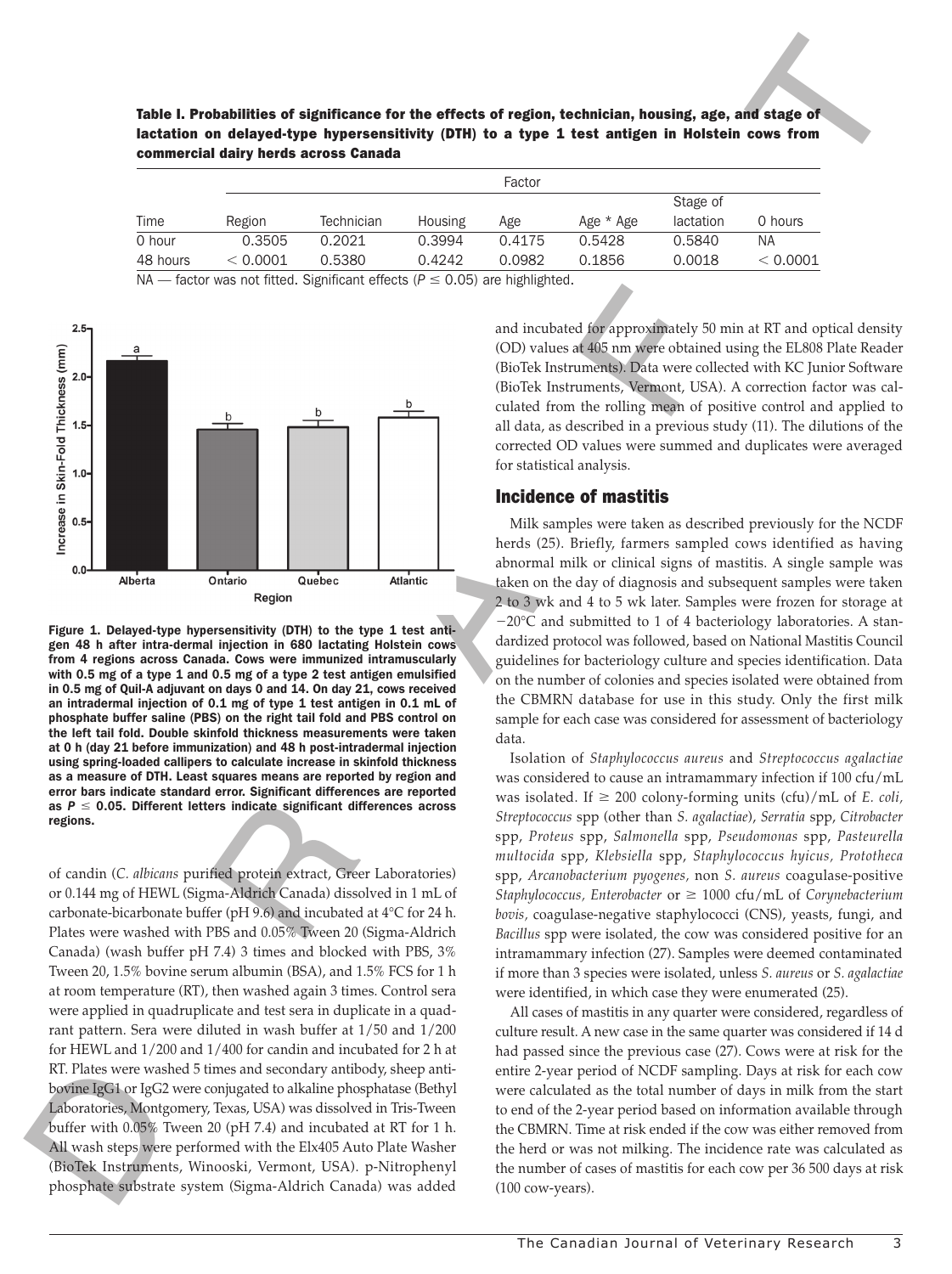#### Table I. Probabilities of significance for the effects of region, technician, housing, age, and stage of lactation on delayed-type hypersensitivity (DTH) to a type 1 test antigen in Holstein cows from commercial dairy herds across Canada

| Time     | Factor   |            |         |        |           |           |          |  |  |  |
|----------|----------|------------|---------|--------|-----------|-----------|----------|--|--|--|
|          |          |            |         |        |           | Stage of  |          |  |  |  |
|          | Region   | Technician | Housing | Age    | Age * Age | lactation | 0 hours  |  |  |  |
| 0 hour   | 0.3505   | 0.2021     | 0.3994  | 0.4175 | 0.5428    | 0.5840    | ΝA       |  |  |  |
| 48 hours | < 0.0001 | 0.5380     | 0.4242  | 0.0982 | 0.1856    | 0.0018    | < 0.0001 |  |  |  |

NA — factor was not fitted. Significant effects ( $P \le 0.05$ ) are highlighted.



Figure 1. Delayed-type hypersensitivity (DTH) to the type 1 test antigen 48 h after intra-dermal injection in 680 lactating Holstein cows from 4 regions across Canada. Cows were immunized intramuscularly with 0.5 mg of a type 1 and 0.5 mg of a type 2 test antigen emulsified in 0.5 mg of Quil-A adjuvant on days 0 and 14. On day 21, cows received an intradermal injection of 0.1 mg of type 1 test antigen in 0.1 mL of phosphate buffer saline (PBS) on the right tail fold and PBS control on the left tail fold. Double skinfold thickness measurements were taken at 0 h (day 21 before immunization) and 48 h post-intradermal injection using spring-loaded callipers to calculate increase in skinfold thickness as a measure of DTH. Least squares means are reported by region and error bars indicate standard error. Significant differences are reported as  $P \leq 0.05$ . Different letters indicate significant differences across regions.

of candin (*C. albicans* purified protein extract, Greer Laboratories) or 0.144 mg of HEWL (Sigma-Aldrich Canada) dissolved in 1 mL of carbonate-bicarbonate buffer (pH 9.6) and incubated at 4°C for 24 h. Plates were washed with PBS and 0.05% Tween 20 (Sigma-Aldrich Canada) (wash buffer pH 7.4) 3 times and blocked with PBS, 3% Tween 20, 1.5% bovine serum albumin (BSA), and 1.5% FCS for 1 h at room temperature (RT), then washed again 3 times. Control sera were applied in quadruplicate and test sera in duplicate in a quadrant pattern. Sera were diluted in wash buffer at 1/50 and 1/200 for HEWL and 1/200 and 1/400 for candin and incubated for 2 h at RT. Plates were washed 5 times and secondary antibody, sheep antibovine IgG1 or IgG2 were conjugated to alkaline phosphatase (Bethyl Laboratories, Montgomery, Texas, USA) was dissolved in Tris-Tween buffer with 0.05% Tween 20 (pH 7.4) and incubated at RT for 1 h. All wash steps were performed with the Elx405 Auto Plate Washer (BioTek Instruments, Winooski, Vermont, USA). p-Nitrophenyl phosphate substrate system (Sigma-Aldrich Canada) was added

and incubated for approximately 50 min at RT and optical density (OD) values at 405 nm were obtained using the EL808 Plate Reader (BioTek Instruments). Data were collected with KC Junior Software (BioTek Instruments, Vermont, USA). A correction factor was calculated from the rolling mean of positive control and applied to all data, as described in a previous study (11). The dilutions of the corrected OD values were summed and duplicates were averaged for statistical analysis.

### Incidence of mastitis

Milk samples were taken as described previously for the NCDF herds (25). Briefly, farmers sampled cows identified as having abnormal milk or clinical signs of mastitis. A single sample was taken on the day of diagnosis and subsequent samples were taken 2 to 3 wk and 4 to 5 wk later. Samples were frozen for storage at  $-20^{\circ}$ C and submitted to 1 of 4 bacteriology laboratories. A standardized protocol was followed, based on National Mastitis Council guidelines for bacteriology culture and species identification. Data on the number of colonies and species isolated were obtained from the CBMRN database for use in this study. Only the first milk sample for each case was considered for assessment of bacteriology data.

Isolation of *Staphylococcus aureus* and *Streptococcus agalactiae* was considered to cause an intramammary infection if 100 cfu/mL was isolated. If  $\geq 200$  colony-forming units (cfu)/mL of *E. coli, Streptococcus* spp (other than *S. agalactiae*), *Serratia* spp, *Citrobacter* spp, *Proteus* spp, *Salmonella* spp, *Pseudomonas* spp, *Pasteurella multocida* spp, *Klebsiella* spp, *Staphylococcus hyicus, Prototheca* spp, *Arcanobacterium pyogenes,* non *S. aureus* coagulase-positive *Staphylococcus, Enterobacter* or  $\geq 1000$  cfu/mL of *Corynebacterium bovis,* coagulase-negative staphylococci (CNS), yeasts, fungi, and *Bacillus* spp were isolated, the cow was considered positive for an intramammary infection (27). Samples were deemed contaminated if more than 3 species were isolated, unless *S. aureus* or *S. agalactiae*  were identified, in which case they were enumerated (25).

All cases of mastitis in any quarter were considered, regardless of culture result. A new case in the same quarter was considered if 14 d had passed since the previous case (27). Cows were at risk for the entire 2-year period of NCDF sampling. Days at risk for each cow were calculated as the total number of days in milk from the start to end of the 2-year period based on information available through the CBMRN. Time at risk ended if the cow was either removed from the herd or was not milking. The incidence rate was calculated as the number of cases of mastitis for each cow per 36 500 days at risk (100 cow-years).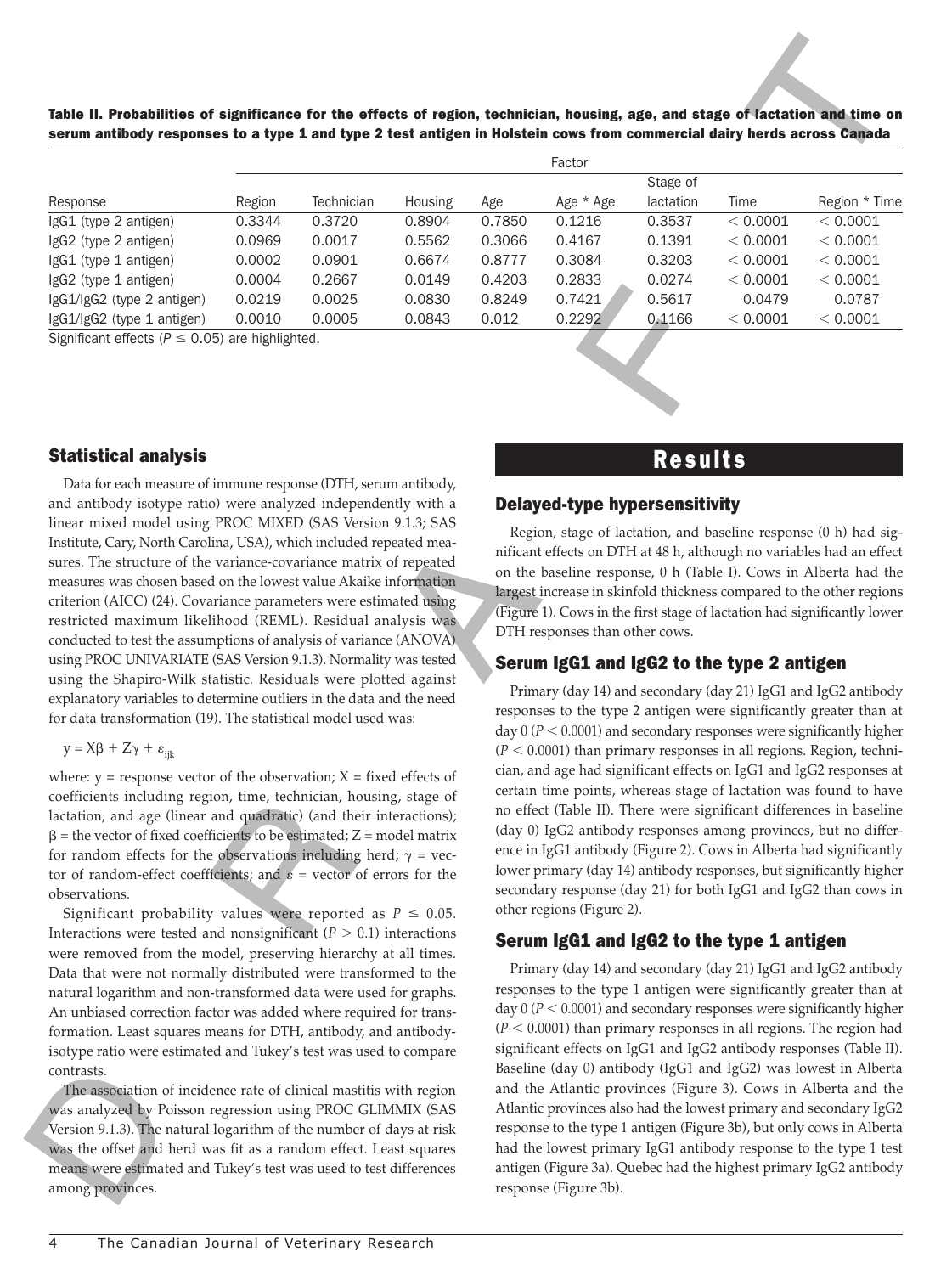Table II. Probabilities of significance for the effects of region, technician, housing, age, and stage of lactation and time on serum antibody responses to a type 1 and type 2 test antigen in Holstein cows from commercial dairy herds across Canada

|                                                                                                                                                                                                                                                                                                                                                                                                                                                                                                                                                                                                                                                                                                                                                                                                                                                                                                                                                                                                                                                                                                                                                                                                                                                                                                                                                                                                                                                                                                                                                                                                                                                                 |                  |                  |                                                                                                                                                                                                                                                                                                                                                                                                                                                                                                                                                                                                                                                                               |                                                                                                                                                                                                                                                                                                                                                                                                                                                                                                                                                                                                                                                                                                                                                                                                                                                                                                                                                                                                                                                                                                                                                                                                                                                                                                                                                                                                                                                                      |                  | Stage of         |                    |                    |
|-----------------------------------------------------------------------------------------------------------------------------------------------------------------------------------------------------------------------------------------------------------------------------------------------------------------------------------------------------------------------------------------------------------------------------------------------------------------------------------------------------------------------------------------------------------------------------------------------------------------------------------------------------------------------------------------------------------------------------------------------------------------------------------------------------------------------------------------------------------------------------------------------------------------------------------------------------------------------------------------------------------------------------------------------------------------------------------------------------------------------------------------------------------------------------------------------------------------------------------------------------------------------------------------------------------------------------------------------------------------------------------------------------------------------------------------------------------------------------------------------------------------------------------------------------------------------------------------------------------------------------------------------------------------|------------------|------------------|-------------------------------------------------------------------------------------------------------------------------------------------------------------------------------------------------------------------------------------------------------------------------------------------------------------------------------------------------------------------------------------------------------------------------------------------------------------------------------------------------------------------------------------------------------------------------------------------------------------------------------------------------------------------------------|----------------------------------------------------------------------------------------------------------------------------------------------------------------------------------------------------------------------------------------------------------------------------------------------------------------------------------------------------------------------------------------------------------------------------------------------------------------------------------------------------------------------------------------------------------------------------------------------------------------------------------------------------------------------------------------------------------------------------------------------------------------------------------------------------------------------------------------------------------------------------------------------------------------------------------------------------------------------------------------------------------------------------------------------------------------------------------------------------------------------------------------------------------------------------------------------------------------------------------------------------------------------------------------------------------------------------------------------------------------------------------------------------------------------------------------------------------------------|------------------|------------------|--------------------|--------------------|
| Response                                                                                                                                                                                                                                                                                                                                                                                                                                                                                                                                                                                                                                                                                                                                                                                                                                                                                                                                                                                                                                                                                                                                                                                                                                                                                                                                                                                                                                                                                                                                                                                                                                                        | Region           | Technician       | Housing                                                                                                                                                                                                                                                                                                                                                                                                                                                                                                                                                                                                                                                                       | Age                                                                                                                                                                                                                                                                                                                                                                                                                                                                                                                                                                                                                                                                                                                                                                                                                                                                                                                                                                                                                                                                                                                                                                                                                                                                                                                                                                                                                                                                  | Age * Age        | lactation        | Time               | Region * Time      |
| IgG1 (type 2 antigen)                                                                                                                                                                                                                                                                                                                                                                                                                                                                                                                                                                                                                                                                                                                                                                                                                                                                                                                                                                                                                                                                                                                                                                                                                                                                                                                                                                                                                                                                                                                                                                                                                                           | 0.3344           | 0.3720           | 0.8904                                                                                                                                                                                                                                                                                                                                                                                                                                                                                                                                                                                                                                                                        | 0.7850                                                                                                                                                                                                                                                                                                                                                                                                                                                                                                                                                                                                                                                                                                                                                                                                                                                                                                                                                                                                                                                                                                                                                                                                                                                                                                                                                                                                                                                               | 0.1216           | 0.3537           | < 0.0001           | < 0.0001           |
| IgG2 (type 2 antigen)                                                                                                                                                                                                                                                                                                                                                                                                                                                                                                                                                                                                                                                                                                                                                                                                                                                                                                                                                                                                                                                                                                                                                                                                                                                                                                                                                                                                                                                                                                                                                                                                                                           | 0.0969           | 0.0017           | 0.5562                                                                                                                                                                                                                                                                                                                                                                                                                                                                                                                                                                                                                                                                        | 0.3066                                                                                                                                                                                                                                                                                                                                                                                                                                                                                                                                                                                                                                                                                                                                                                                                                                                                                                                                                                                                                                                                                                                                                                                                                                                                                                                                                                                                                                                               | 0.4167           | 0.1391           | < 0.0001           | < 0.0001           |
| IgG1 (type 1 antigen)                                                                                                                                                                                                                                                                                                                                                                                                                                                                                                                                                                                                                                                                                                                                                                                                                                                                                                                                                                                                                                                                                                                                                                                                                                                                                                                                                                                                                                                                                                                                                                                                                                           | 0.0002           | 0.0901           | 0.6674                                                                                                                                                                                                                                                                                                                                                                                                                                                                                                                                                                                                                                                                        | 0.8777                                                                                                                                                                                                                                                                                                                                                                                                                                                                                                                                                                                                                                                                                                                                                                                                                                                                                                                                                                                                                                                                                                                                                                                                                                                                                                                                                                                                                                                               | 0.3084           | 0.3203           | < 0.0001           | < 0.0001           |
| IgG2 (type 1 antigen)                                                                                                                                                                                                                                                                                                                                                                                                                                                                                                                                                                                                                                                                                                                                                                                                                                                                                                                                                                                                                                                                                                                                                                                                                                                                                                                                                                                                                                                                                                                                                                                                                                           | 0.0004<br>0.0219 | 0.2667<br>0.0025 | 0.0149<br>0.0830                                                                                                                                                                                                                                                                                                                                                                                                                                                                                                                                                                                                                                                              | 0.4203<br>0.8249                                                                                                                                                                                                                                                                                                                                                                                                                                                                                                                                                                                                                                                                                                                                                                                                                                                                                                                                                                                                                                                                                                                                                                                                                                                                                                                                                                                                                                                     | 0.2833<br>0.7421 | 0.0274<br>0.5617 | < 0.0001<br>0.0479 | < 0.0001<br>0.0787 |
| IgG1/IgG2 (type 2 antigen)<br>IgG1/IgG2 (type 1 antigen)                                                                                                                                                                                                                                                                                                                                                                                                                                                                                                                                                                                                                                                                                                                                                                                                                                                                                                                                                                                                                                                                                                                                                                                                                                                                                                                                                                                                                                                                                                                                                                                                        | 0.0010           | 0.0005           | 0.0843                                                                                                                                                                                                                                                                                                                                                                                                                                                                                                                                                                                                                                                                        | 0.012                                                                                                                                                                                                                                                                                                                                                                                                                                                                                                                                                                                                                                                                                                                                                                                                                                                                                                                                                                                                                                                                                                                                                                                                                                                                                                                                                                                                                                                                | 0.2292           | 0.1166           | < 0.0001           | < 0.0001           |
| Significant effects ( $P \le 0.05$ ) are highlighted.                                                                                                                                                                                                                                                                                                                                                                                                                                                                                                                                                                                                                                                                                                                                                                                                                                                                                                                                                                                                                                                                                                                                                                                                                                                                                                                                                                                                                                                                                                                                                                                                           |                  |                  |                                                                                                                                                                                                                                                                                                                                                                                                                                                                                                                                                                                                                                                                               |                                                                                                                                                                                                                                                                                                                                                                                                                                                                                                                                                                                                                                                                                                                                                                                                                                                                                                                                                                                                                                                                                                                                                                                                                                                                                                                                                                                                                                                                      |                  |                  |                    |                    |
| <b>Statistical analysis</b><br>Data for each measure of immune response (DTH, serum antibody,                                                                                                                                                                                                                                                                                                                                                                                                                                                                                                                                                                                                                                                                                                                                                                                                                                                                                                                                                                                                                                                                                                                                                                                                                                                                                                                                                                                                                                                                                                                                                                   |                  |                  |                                                                                                                                                                                                                                                                                                                                                                                                                                                                                                                                                                                                                                                                               |                                                                                                                                                                                                                                                                                                                                                                                                                                                                                                                                                                                                                                                                                                                                                                                                                                                                                                                                                                                                                                                                                                                                                                                                                                                                                                                                                                                                                                                                      |                  | <b>Results</b>   |                    |                    |
| and antibody isotype ratio) were analyzed independently with a<br>linear mixed model using PROC MIXED (SAS Version 9.1.3; SAS<br>Institute, Cary, North Carolina, USA), which included repeated mea-<br>sures. The structure of the variance-covariance matrix of repeated<br>measures was chosen based on the lowest value Akaike information<br>criterion (AICC) (24). Covariance parameters were estimated using<br>restricted maximum likelihood (REML). Residual analysis was<br>conducted to test the assumptions of analysis of variance (ANOVA)<br>using PROC UNIVARIATE (SAS Version 9.1.3). Normality was tested<br>using the Shapiro-Wilk statistic. Residuals were plotted against<br>explanatory variables to determine outliers in the data and the need<br>for data transformation (19). The statistical model used was:<br>$y = X\beta + Z\gamma + \varepsilon_{ijk}$<br>where: $y =$ response vector of the observation; $X =$ fixed effects of<br>coefficients including region, time, technician, housing, stage of<br>lactation, and age (linear and quadratic) (and their interactions);<br>$\beta$ = the vector of fixed coefficients to be estimated; Z = model matrix<br>for random effects for the observations including herd; $\gamma$ = vec-<br>tor of random-effect coefficients; and $\varepsilon$ = vector of errors for the<br>observations.<br>Significant probability values were reported as $P \leq 0.05$ .<br>Interactions were tested and nonsignificant ( $P > 0.1$ ) interactions<br>were removed from the model, preserving hierarchy at all times.<br>Data that were not normally distributed were transformed to the |                  |                  |                                                                                                                                                                                                                                                                                                                                                                                                                                                                                                                                                                                                                                                                               | Region, stage of lactation, and baseline response (0 h) had sig-<br>nificant effects on DTH at 48 h, although no variables had an effect<br>on the baseline response, 0 h (Table I). Cows in Alberta had the<br>largest increase in skinfold thickness compared to the other regions<br>(Figure 1). Cows in the first stage of lactation had significantly lower<br>DTH responses than other cows.<br>Serum IgG1 and IgG2 to the type 2 antigen<br>Primary (day 14) and secondary (day 21) IgG1 and IgG2 antibody<br>responses to the type 2 antigen were significantly greater than at<br>day $0 (P < 0.0001)$ and secondary responses were significantly higher<br>$(P < 0.0001)$ than primary responses in all regions. Region, techni-<br>cian, and age had significant effects on IgG1 and IgG2 responses at<br>certain time points, whereas stage of lactation was found to have<br>no effect (Table II). There were significant differences in baseline<br>(day 0) IgG2 antibody responses among provinces, but no differ-<br>ence in IgG1 antibody (Figure 2). Cows in Alberta had significantly<br>lower primary (day 14) antibody responses, but significantly higher<br>secondary response (day 21) for both IgG1 and IgG2 than cows in<br>other regions (Figure 2).<br>Serum IgG1 and IgG2 to the type 1 antigen<br>Primary (day 14) and secondary (day 21) IgG1 and IgG2 antibody<br>responses to the type 1 antigen were significantly greater than at |                  |                  |                    |                    |
| natural logarithm and non-transformed data were used for graphs.<br>An unbiased correction factor was added where required for trans-<br>formation. Least squares means for DTH, antibody, and antibody-<br>isotype ratio were estimated and Tukey's test was used to compare<br>contrasts.<br>The association of incidence rate of clinical mastitis with region<br>was analyzed by Poisson regression using PROC GLIMMIX (SAS<br>Version 9.1.3). The natural logarithm of the number of days at risk<br>was the offset and herd was fit as a random effect. Least squares<br>means were estimated and Tukey's test was used to test differences<br>among provinces.                                                                                                                                                                                                                                                                                                                                                                                                                                                                                                                                                                                                                                                                                                                                                                                                                                                                                                                                                                                           |                  |                  | day $0$ ( $P < 0.0001$ ) and secondary responses were significantly higher<br>$(P < 0.0001)$ than primary responses in all regions. The region had<br>significant effects on IgG1 and IgG2 antibody responses (Table II).<br>Baseline (day 0) antibody (IgG1 and IgG2) was lowest in Alberta<br>and the Atlantic provinces (Figure 3). Cows in Alberta and the<br>Atlantic provinces also had the lowest primary and secondary IgG2<br>response to the type 1 antigen (Figure 3b), but only cows in Alberta<br>had the lowest primary IgG1 antibody response to the type 1 test<br>antigen (Figure 3a). Quebec had the highest primary IgG2 antibody<br>response (Figure 3b). |                                                                                                                                                                                                                                                                                                                                                                                                                                                                                                                                                                                                                                                                                                                                                                                                                                                                                                                                                                                                                                                                                                                                                                                                                                                                                                                                                                                                                                                                      |                  |                  |                    |                    |

### Statistical analysis

# Results

### Delayed-type hypersensitivity

### Serum IgG1 and IgG2 to the type 2 antigen

### Serum IgG1 and IgG2 to the type 1 antigen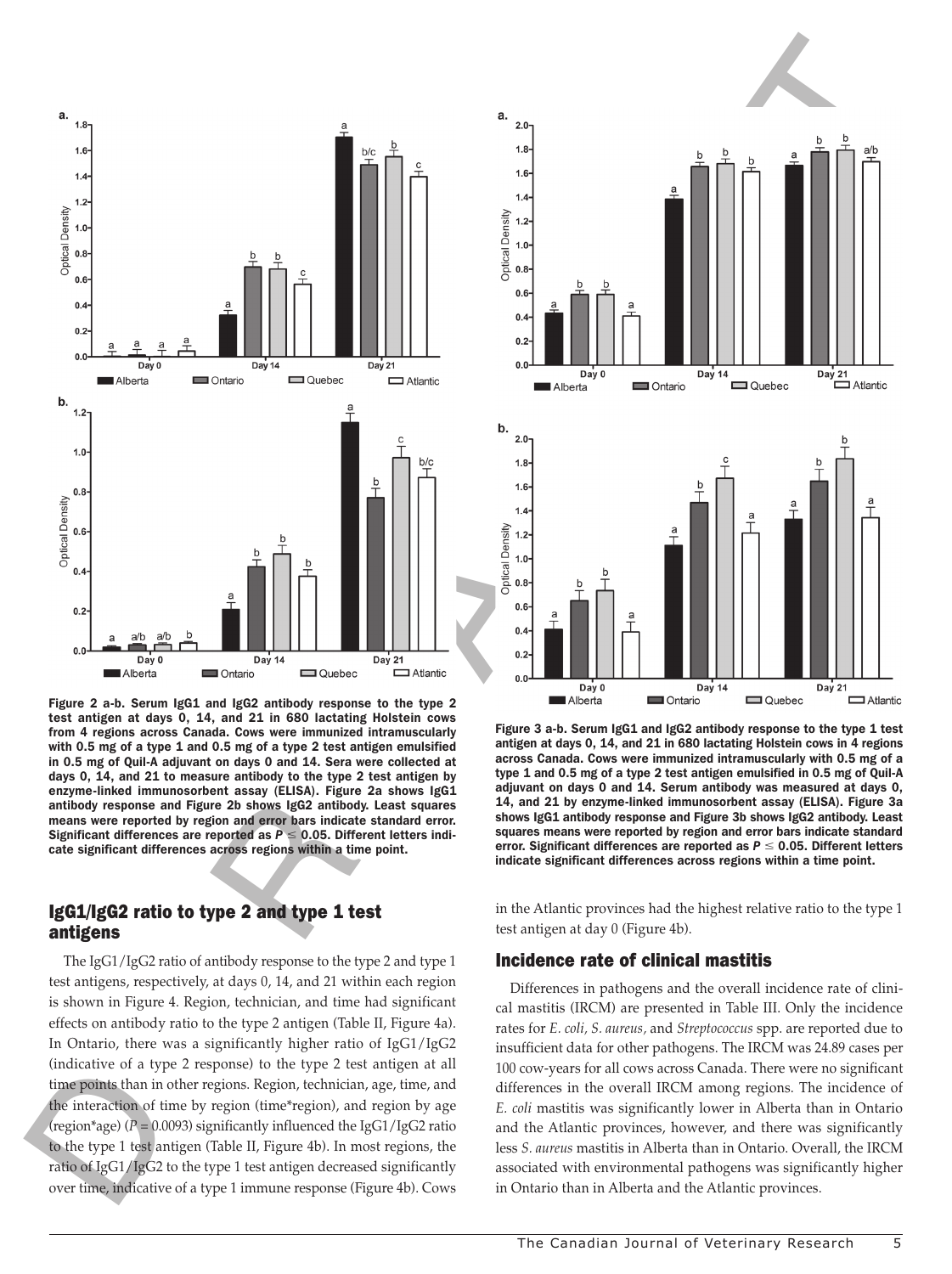

Figure 2 a-b. Serum IgG1 and IgG2 antibody response to the type 2 test antigen at days 0, 14, and 21 in 680 lactating Holstein cows from 4 regions across Canada. Cows were immunized intramuscularly with 0.5 mg of a type 1 and 0.5 mg of a type 2 test antigen emulsified in 0.5 mg of Quil-A adjuvant on days 0 and 14. Sera were collected at days 0, 14, and 21 to measure antibody to the type 2 test antigen by enzyme-linked immunosorbent assay (ELISA). Figure 2a shows IgG1 antibody response and Figure 2b shows IgG2 antibody. Least squares means were reported by region and error bars indicate standard error. Significant differences are reported as  $P \leq 0.05$ . Different letters indicate significant differences across regions within a time point.

### IgG1/IgG2 ratio to type 2 and type 1 test antigens

The IgG1/IgG2 ratio of antibody response to the type 2 and type 1 test antigens, respectively, at days 0, 14, and 21 within each region is shown in Figure 4. Region, technician, and time had significant effects on antibody ratio to the type 2 antigen (Table II, Figure 4a). In Ontario, there was a significantly higher ratio of IgG1/IgG2 (indicative of a type 2 response) to the type 2 test antigen at all time points than in other regions. Region, technician, age, time, and the interaction of time by region (time\*region), and region by age (region\*age)  $(P = 0.0093)$  significantly influenced the IgG1/IgG2 ratio to the type 1 test antigen (Table II, Figure 4b). In most regions, the ratio of IgG1/IgG2 to the type 1 test antigen decreased significantly over time, indicative of a type 1 immune response (Figure 4b). Cows



Figure 3 a-b. Serum IgG1 and IgG2 antibody response to the type 1 test antigen at days 0, 14, and 21 in 680 lactating Holstein cows in 4 regions across Canada. Cows were immunized intramuscularly with 0.5 mg of a type 1 and 0.5 mg of a type 2 test antigen emulsified in 0.5 mg of Quil-A adjuvant on days 0 and 14. Serum antibody was measured at days 0, 14, and 21 by enzyme-linked immunosorbent assay (ELISA). Figure 3a shows IgG1 antibody response and Figure 3b shows IgG2 antibody. Least squares means were reported by region and error bars indicate standard error. Significant differences are reported as  $P \leq 0.05$ . Different letters indicate significant differences across regions within a time point.

in the Atlantic provinces had the highest relative ratio to the type 1 test antigen at day 0 (Figure 4b).

#### Incidence rate of clinical mastitis

Differences in pathogens and the overall incidence rate of clinical mastitis (IRCM) are presented in Table III. Only the incidence rates for *E. coli, S. aureus,* and *Streptococcus* spp. are reported due to insufficient data for other pathogens. The IRCM was 24.89 cases per 100 cow-years for all cows across Canada. There were no significant differences in the overall IRCM among regions. The incidence of *E. coli* mastitis was significantly lower in Alberta than in Ontario and the Atlantic provinces, however, and there was significantly less *S. aureus* mastitis in Alberta than in Ontario. Overall, the IRCM associated with environmental pathogens was significantly higher in Ontario than in Alberta and the Atlantic provinces.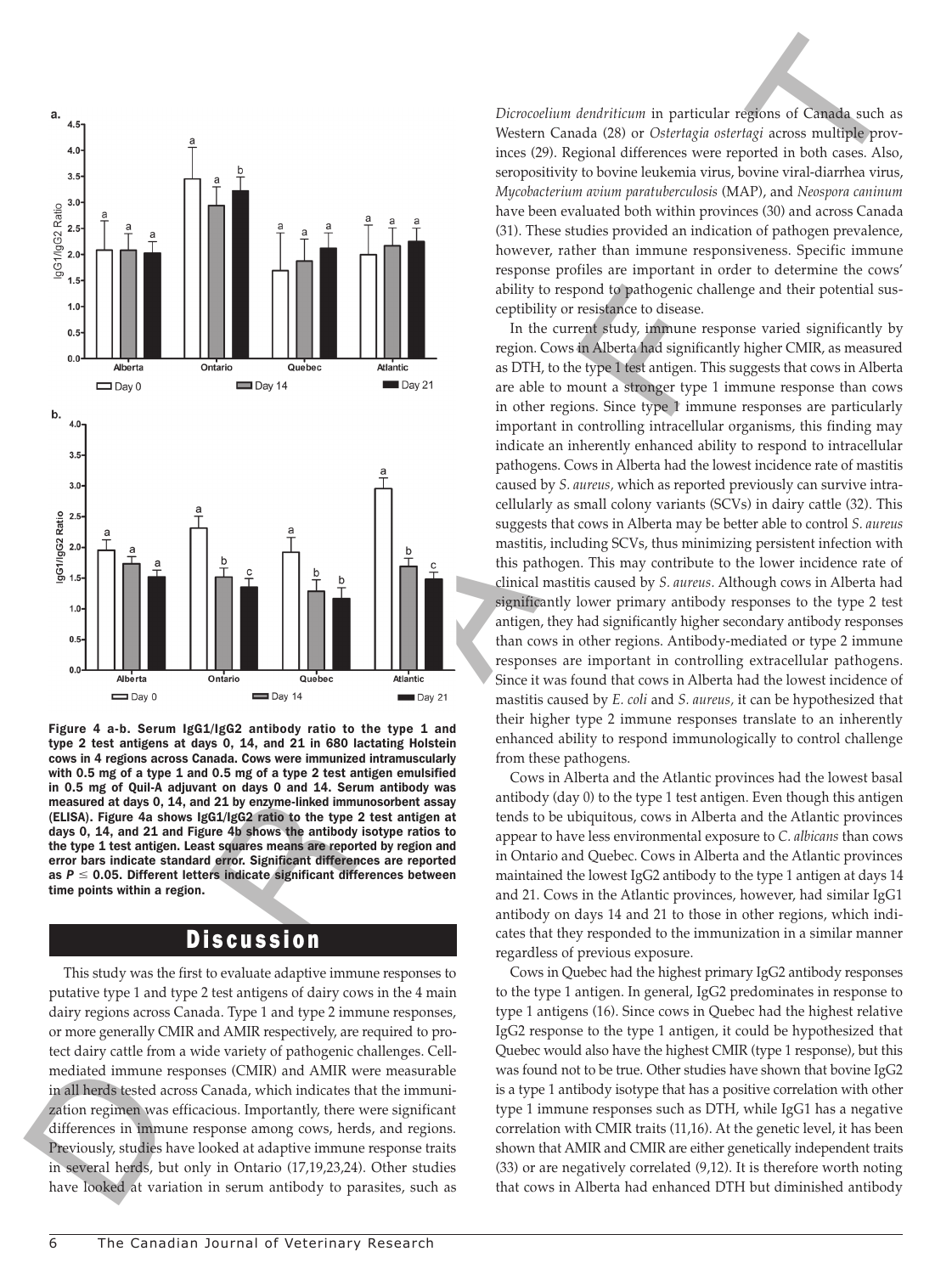

Figure 4 a-b. Serum IgG1/IgG2 antibody ratio to the type 1 and type 2 test antigens at days 0, 14, and 21 in 680 lactating Holstein cows in 4 regions across Canada. Cows were immunized intramuscularly with 0.5 mg of a type 1 and 0.5 mg of a type 2 test antigen emulsified in 0.5 mg of Quil-A adjuvant on days 0 and 14. Serum antibody was measured at days 0, 14, and 21 by enzyme-linked immunosorbent assay (ELISA). Figure 4a shows IgG1/IgG2 ratio to the type 2 test antigen at days 0, 14, and 21 and Figure 4b shows the antibody isotype ratios to the type 1 test antigen. Least squares means are reported by region and error bars indicate standard error. Significant differences are reported as  $P \leq 0.05$ . Different letters indicate significant differences between time points within a region.

## Discussion

This study was the first to evaluate adaptive immune responses to putative type 1 and type 2 test antigens of dairy cows in the 4 main dairy regions across Canada. Type 1 and type 2 immune responses, or more generally CMIR and AMIR respectively, are required to protect dairy cattle from a wide variety of pathogenic challenges. Cellmediated immune responses (CMIR) and AMIR were measurable in all herds tested across Canada, which indicates that the immunization regimen was efficacious. Importantly, there were significant differences in immune response among cows, herds, and regions. Previously, studies have looked at adaptive immune response traits in several herds, but only in Ontario (17,19,23,24). Other studies have looked at variation in serum antibody to parasites, such as

*Dicrocoelium dendriticum* in particular regions of Canada such as Western Canada (28) or *Ostertagia ostertagi* across multiple provinces (29). Regional differences were reported in both cases. Also, seropositivity to bovine leukemia virus, bovine viral-diarrhea virus, *Mycobacterium avium paratuberculosis* (MAP), and *Neospora caninum* have been evaluated both within provinces (30) and across Canada (31). These studies provided an indication of pathogen prevalence, however, rather than immune responsiveness. Specific immune response profiles are important in order to determine the cows' ability to respond to pathogenic challenge and their potential susceptibility or resistance to disease.

In the current study, immune response varied significantly by region. Cows in Alberta had significantly higher CMIR, as measured as DTH, to the type 1 test antigen. This suggests that cows in Alberta are able to mount a stronger type 1 immune response than cows in other regions. Since type 1 immune responses are particularly important in controlling intracellular organisms, this finding may indicate an inherently enhanced ability to respond to intracellular pathogens. Cows in Alberta had the lowest incidence rate of mastitis caused by *S. aureus,* which as reported previously can survive intracellularly as small colony variants (SCVs) in dairy cattle (32). This suggests that cows in Alberta may be better able to control *S. aureus* mastitis, including SCVs, thus minimizing persistent infection with this pathogen. This may contribute to the lower incidence rate of clinical mastitis caused by *S. aureus.* Although cows in Alberta had significantly lower primary antibody responses to the type 2 test antigen, they had significantly higher secondary antibody responses than cows in other regions. Antibody-mediated or type 2 immune responses are important in controlling extracellular pathogens. Since it was found that cows in Alberta had the lowest incidence of mastitis caused by *E. coli* and *S. aureus,* it can be hypothesized that their higher type 2 immune responses translate to an inherently enhanced ability to respond immunologically to control challenge from these pathogens.

Cows in Alberta and the Atlantic provinces had the lowest basal antibody (day 0) to the type 1 test antigen. Even though this antigen tends to be ubiquitous, cows in Alberta and the Atlantic provinces appear to have less environmental exposure to *C. albicans* than cows in Ontario and Quebec. Cows in Alberta and the Atlantic provinces maintained the lowest IgG2 antibody to the type 1 antigen at days 14 and 21. Cows in the Atlantic provinces, however, had similar IgG1 antibody on days 14 and 21 to those in other regions, which indicates that they responded to the immunization in a similar manner regardless of previous exposure.

Cows in Quebec had the highest primary IgG2 antibody responses to the type 1 antigen. In general, IgG2 predominates in response to type 1 antigens (16). Since cows in Quebec had the highest relative IgG2 response to the type 1 antigen, it could be hypothesized that Quebec would also have the highest CMIR (type 1 response), but this was found not to be true. Other studies have shown that bovine IgG2 is a type 1 antibody isotype that has a positive correlation with other type 1 immune responses such as DTH, while IgG1 has a negative correlation with CMIR traits (11,16). At the genetic level, it has been shown that AMIR and CMIR are either genetically independent traits (33) or are negatively correlated (9,12). It is therefore worth noting that cows in Alberta had enhanced DTH but diminished antibody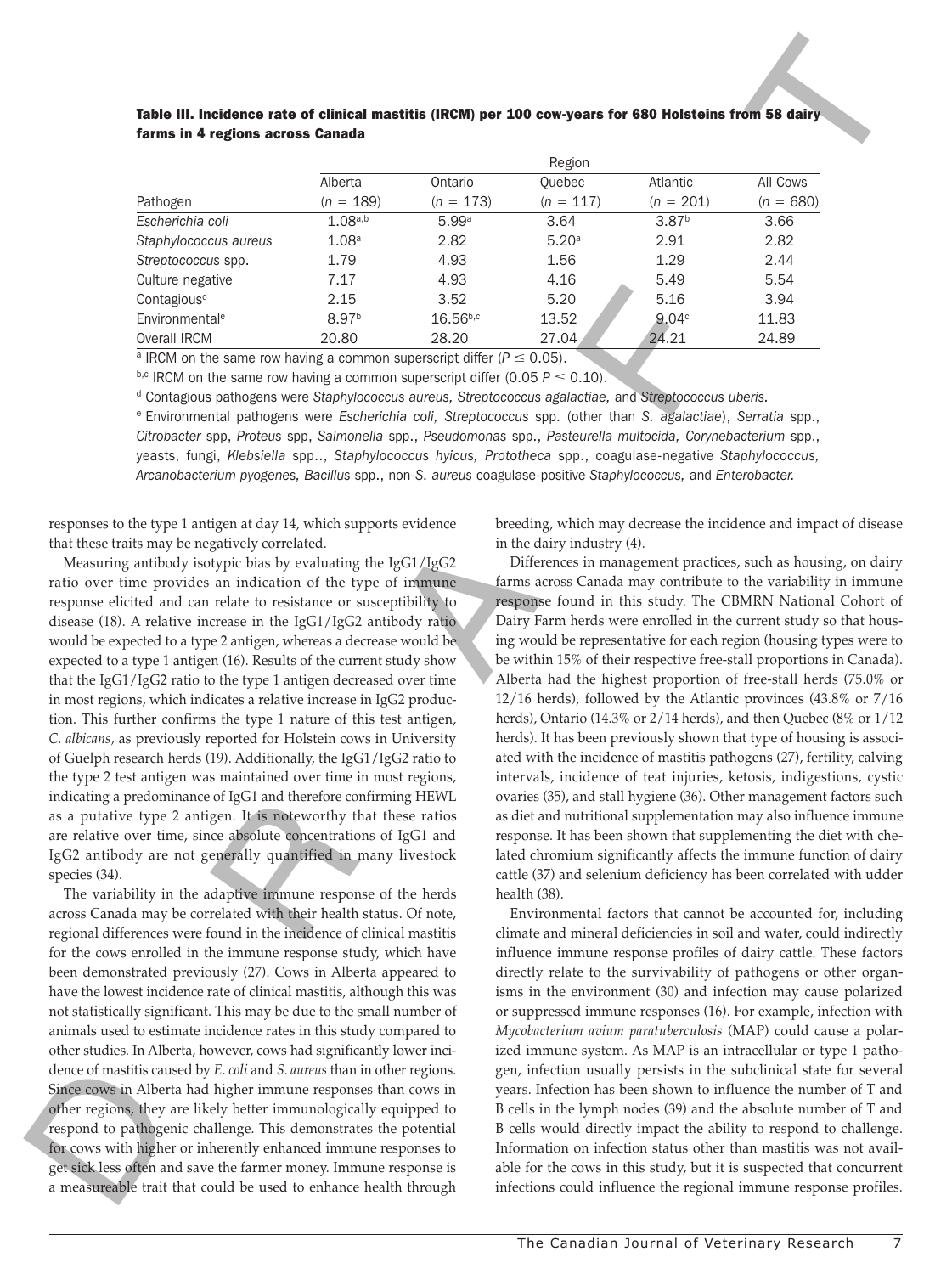|                            | Region            |               |                   |                   |                         |  |  |  |
|----------------------------|-------------------|---------------|-------------------|-------------------|-------------------------|--|--|--|
|                            | Alberta           | Ontario       | Quebec            | Atlantic          | All Cows<br>$(n = 680)$ |  |  |  |
| Pathogen                   | $(n = 189)$       | $(n = 173)$   | $(n = 117)$       | $(n = 201)$       |                         |  |  |  |
| Escherichia coli           | $1.08^{a,b}$      | 5.99a         | 3.64              | 3.87 <sup>b</sup> | 3.66                    |  |  |  |
| Staphylococcus aureus      | 1.08 <sup>a</sup> | 2.82          | 5.20 <sup>a</sup> | 2.91              | 2.82                    |  |  |  |
| Streptococcus spp.         | 1.79              | 4.93          | 1.56              | 1.29              | 2.44                    |  |  |  |
| Culture negative           | 7.17              | 4.93          | 4.16              | 5.49              | 5.54                    |  |  |  |
| Contagious <sup>d</sup>    | 2.15              | 3.52          | 5.20              | 5.16              | 3.94                    |  |  |  |
| Environmental <sup>e</sup> | 8.97 <sup>b</sup> | $16.56^{b,c}$ | 13.52             | 9.04c             | 11.83                   |  |  |  |
| Overall IRCM               | 20.80             | 28.20         | 27.04             | 24.21             | 24.89                   |  |  |  |

#### Table III. Incidence rate of clinical mastitis (IRCM) per 100 cow-years for 680 Holsteins from 58 dairy farms in 4 regions across Canada

<sup>a</sup> IRCM on the same row having a common superscript differ ( $P \le 0.05$ ).

b,c IRCM on the same row having a common superscript differ  $(0.05 P \le 0.10)$ .

<sup>d</sup> Contagious pathogens were *Staphylococcus aureus, Streptococcus agalactiae,* and *Streptococcus uberis.*

<sup>e</sup> Environmental pathogens were *Escherichia coli, Streptococcus* spp. (other than *S. agalactiae*), *Serratia* spp., *Citrobacter* spp, *Proteus* spp, *Salmonella* spp., *Pseudomonas* spp., *Pasteurella multocida, Corynebacterium* spp., yeasts, fungi, *Klebsiella* spp.., *Staphylococcus hyicus, Prototheca* spp., coagulase-negative *Staphylococcus, Arcanobacterium pyogenes, Bacillus* spp., non-*S. aureus* coagulase-positive *Staphylococcus,* and *Enterobacter.*

responses to the type 1 antigen at day 14, which supports evidence that these traits may be negatively correlated.

Measuring antibody isotypic bias by evaluating the IgG1/IgG2 ratio over time provides an indication of the type of immune response elicited and can relate to resistance or susceptibility to disease (18). A relative increase in the IgG1/IgG2 antibody ratio would be expected to a type 2 antigen, whereas a decrease would be expected to a type 1 antigen (16). Results of the current study show that the IgG1/IgG2 ratio to the type 1 antigen decreased over time in most regions, which indicates a relative increase in IgG2 production. This further confirms the type 1 nature of this test antigen, *C. albicans,* as previously reported for Holstein cows in University of Guelph research herds (19). Additionally, the IgG1/IgG2 ratio to the type 2 test antigen was maintained over time in most regions, indicating a predominance of IgG1 and therefore confirming HEWL as a putative type 2 antigen. It is noteworthy that these ratios are relative over time, since absolute concentrations of IgG1 and IgG2 antibody are not generally quantified in many livestock species (34).

The variability in the adaptive immune response of the herds across Canada may be correlated with their health status. Of note, regional differences were found in the incidence of clinical mastitis for the cows enrolled in the immune response study, which have been demonstrated previously (27). Cows in Alberta appeared to have the lowest incidence rate of clinical mastitis, although this was not statistically significant. This may be due to the small number of animals used to estimate incidence rates in this study compared to other studies. In Alberta, however, cows had significantly lower incidence of mastitis caused by *E. coli* and *S. aureus* than in other regions. Since cows in Alberta had higher immune responses than cows in other regions, they are likely better immunologically equipped to respond to pathogenic challenge. This demonstrates the potential for cows with higher or inherently enhanced immune responses to get sick less often and save the farmer money. Immune response is a measureable trait that could be used to enhance health through

breeding, which may decrease the incidence and impact of disease in the dairy industry (4).

This is in section and of the set of the set of the set of the set of the set of the set of the set of the set of the set of the set of the set of the set of the set of the set of the set of the set of the set of the set Differences in management practices, such as housing, on dairy farms across Canada may contribute to the variability in immune response found in this study. The CBMRN National Cohort of Dairy Farm herds were enrolled in the current study so that housing would be representative for each region (housing types were to be within 15% of their respective free-stall proportions in Canada). Alberta had the highest proportion of free-stall herds (75.0% or 12/16 herds), followed by the Atlantic provinces (43.8% or 7/16 herds), Ontario (14.3% or 2/14 herds), and then Quebec (8% or 1/12 herds). It has been previously shown that type of housing is associated with the incidence of mastitis pathogens (27), fertility, calving intervals, incidence of teat injuries, ketosis, indigestions, cystic ovaries (35), and stall hygiene (36). Other management factors such as diet and nutritional supplementation may also influence immune response. It has been shown that supplementing the diet with chelated chromium significantly affects the immune function of dairy cattle (37) and selenium deficiency has been correlated with udder health (38).

Environmental factors that cannot be accounted for, including climate and mineral deficiencies in soil and water, could indirectly influence immune response profiles of dairy cattle. These factors directly relate to the survivability of pathogens or other organisms in the environment (30) and infection may cause polarized or suppressed immune responses (16). For example, infection with *Mycobacterium avium paratuberculosis* (MAP) could cause a polarized immune system. As MAP is an intracellular or type 1 pathogen, infection usually persists in the subclinical state for several years. Infection has been shown to influence the number of T and B cells in the lymph nodes (39) and the absolute number of T and B cells would directly impact the ability to respond to challenge. Information on infection status other than mastitis was not available for the cows in this study, but it is suspected that concurrent infections could influence the regional immune response profiles.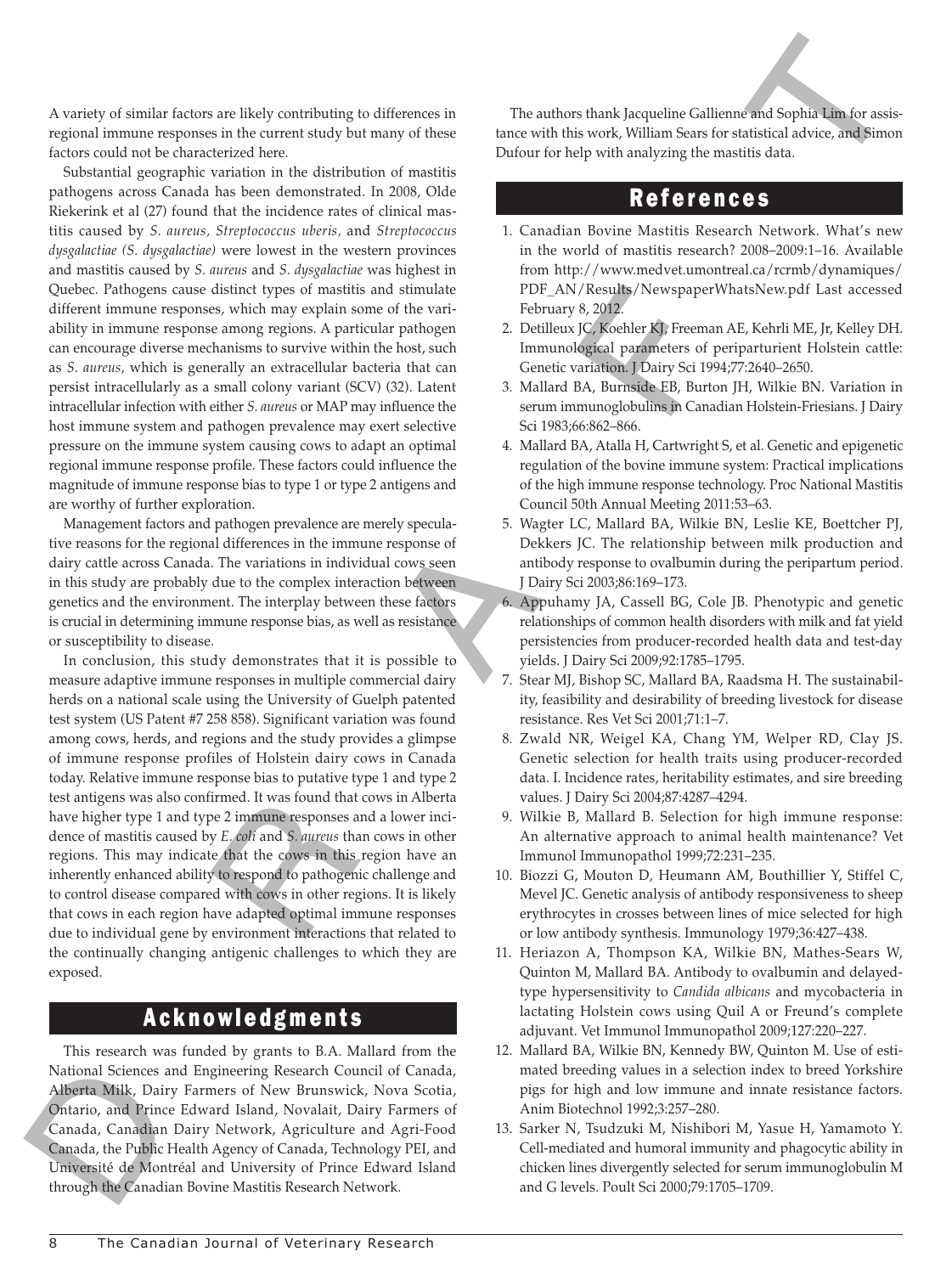A variety of similar factors are likely contributing to differences in regional immune responses in the current study but many of these factors could not be characterized here.

A straight demand factors into contribute in a different<br>original contribute in a straight straight of the straight of the straight original contribute in the straight original control in the straight original control in Substantial geographic variation in the distribution of mastitis pathogens across Canada has been demonstrated. In 2008, Olde Riekerink et al (27) found that the incidence rates of clinical mastitis caused by *S. aureus, Streptococcus uberis,* and *Streptococcus dysgalactiae (S. dysgalactiae)* were lowest in the western provinces and mastitis caused by *S. aureus* and *S. dysgalactiae* was highest in Quebec. Pathogens cause distinct types of mastitis and stimulate different immune responses, which may explain some of the variability in immune response among regions. A particular pathogen can encourage diverse mechanisms to survive within the host, such as *S. aureus,* which is generally an extracellular bacteria that can persist intracellularly as a small colony variant (SCV) (32). Latent intracellular infection with either *S. aureus* or MAP may influence the host immune system and pathogen prevalence may exert selective pressure on the immune system causing cows to adapt an optimal regional immune response profile. These factors could influence the magnitude of immune response bias to type 1 or type 2 antigens and are worthy of further exploration.

Management factors and pathogen prevalence are merely speculative reasons for the regional differences in the immune response of dairy cattle across Canada. The variations in individual cows seen in this study are probably due to the complex interaction between genetics and the environment. The interplay between these factors is crucial in determining immune response bias, as well as resistance or susceptibility to disease.

In conclusion, this study demonstrates that it is possible to measure adaptive immune responses in multiple commercial dairy herds on a national scale using the University of Guelph patented test system (US Patent #7 258 858). Significant variation was found among cows, herds, and regions and the study provides a glimpse of immune response profiles of Holstein dairy cows in Canada today. Relative immune response bias to putative type 1 and type 2 test antigens was also confirmed. It was found that cows in Alberta have higher type 1 and type 2 immune responses and a lower incidence of mastitis caused by *E. coli* and *S. aureus* than cows in other regions. This may indicate that the cows in this region have an inherently enhanced ability to respond to pathogenic challenge and to control disease compared with cows in other regions. It is likely that cows in each region have adapted optimal immune responses due to individual gene by environment interactions that related to the continually changing antigenic challenges to which they are exposed.

## Acknowledgments

This research was funded by grants to B.A. Mallard from the National Sciences and Engineering Research Council of Canada, Alberta Milk, Dairy Farmers of New Brunswick, Nova Scotia, Ontario, and Prince Edward Island, Novalait, Dairy Farmers of Canada, Canadian Dairy Network, Agriculture and Agri-Food Canada, the Public Health Agency of Canada, Technology PEI, and Université de Montréal and University of Prince Edward Island through the Canadian Bovine Mastitis Research Network.

The authors thank Jacqueline Gallienne and Sophia Lim for assistance with this work, William Sears for statistical advice, and Simon Dufour for help with analyzing the mastitis data.

# References

- 1. Canadian Bovine Mastitis Research Network. What's new in the world of mastitis research? 2008–2009:1–16. Available from http://www.medvet.umontreal.ca/rcrmb/dynamiques/ PDF\_AN/Results/NewspaperWhatsNew.pdf Last accessed February 8, 2012.
- 2. Detilleux JC, Koehler KJ, Freeman AE, Kehrli ME, Jr, Kelley DH. Immunological parameters of periparturient Holstein cattle: Genetic variation. J Dairy Sci 1994;77:2640–2650.
- 3. Mallard BA, Burnside EB, Burton JH, Wilkie BN. Variation in serum immunoglobulins in Canadian Holstein-Friesians. J Dairy Sci 1983;66:862–866.
- 4. Mallard BA, Atalla H, Cartwright S, et al. Genetic and epigenetic regulation of the bovine immune system: Practical implications of the high immune response technology. Proc National Mastitis Council 50th Annual Meeting 2011:53–63.
- 5. Wagter LC, Mallard BA, Wilkie BN, Leslie KE, Boettcher PJ, Dekkers JC. The relationship between milk production and antibody response to ovalbumin during the peripartum period. J Dairy Sci 2003;86:169–173.
- 6. Appuhamy JA, Cassell BG, Cole JB. Phenotypic and genetic relationships of common health disorders with milk and fat yield persistencies from producer-recorded health data and test-day yields. J Dairy Sci 2009;92:1785–1795.
- 7. Stear MJ, Bishop SC, Mallard BA, Raadsma H. The sustainability, feasibility and desirability of breeding livestock for disease resistance. Res Vet Sci 2001;71:1–7.
- 8. Zwald NR, Weigel KA, Chang YM, Welper RD, Clay JS. Genetic selection for health traits using producer-recorded data. I. Incidence rates, heritability estimates, and sire breeding values. J Dairy Sci 2004;87:4287–4294.
- 9. Wilkie B, Mallard B. Selection for high immune response: An alternative approach to animal health maintenance? Vet Immunol Immunopathol 1999;72:231–235.
- 10. Biozzi G, Mouton D, Heumann AM, Bouthillier Y, Stiffel C, Mevel JC. Genetic analysis of antibody responsiveness to sheep erythrocytes in crosses between lines of mice selected for high or low antibody synthesis. Immunology 1979;36:427–438.
- 11. Heriazon A, Thompson KA, Wilkie BN, Mathes-Sears W, Quinton M, Mallard BA. Antibody to ovalbumin and delayedtype hypersensitivity to *Candida albicans* and mycobacteria in lactating Holstein cows using Quil A or Freund's complete adjuvant. Vet Immunol Immunopathol 2009;127:220–227.
- 12. Mallard BA, Wilkie BN, Kennedy BW, Quinton M. Use of estimated breeding values in a selection index to breed Yorkshire pigs for high and low immune and innate resistance factors. Anim Biotechnol 1992;3:257–280.
- 13. Sarker N, Tsudzuki M, Nishibori M, Yasue H, Yamamoto Y. Cell-mediated and humoral immunity and phagocytic ability in chicken lines divergently selected for serum immunoglobulin M and G levels. Poult Sci 2000;79:1705–1709.